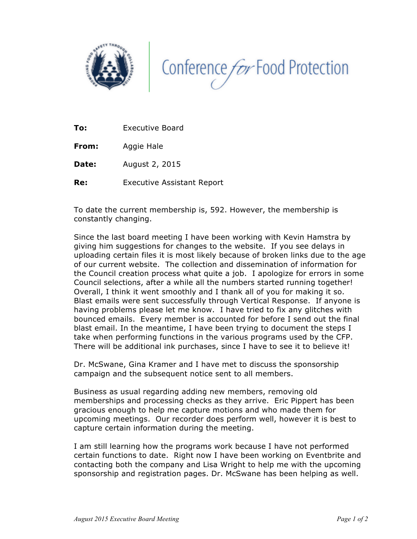



**To:** Executive Board

**From:** Aggie Hale

**Date:** August 2, 2015

**Re:** Executive Assistant Report

To date the current membership is, 592. However, the membership is constantly changing.

Since the last board meeting I have been working with Kevin Hamstra by giving him suggestions for changes to the website. If you see delays in uploading certain files it is most likely because of broken links due to the age of our current website. The collection and dissemination of information for the Council creation process what quite a job. I apologize for errors in some Council selections, after a while all the numbers started running together! Overall, I think it went smoothly and I thank all of you for making it so. Blast emails were sent successfully through Vertical Response. If anyone is having problems please let me know. I have tried to fix any glitches with bounced emails. Every member is accounted for before I send out the final blast email. In the meantime, I have been trying to document the steps I take when performing functions in the various programs used by the CFP. There will be additional ink purchases, since I have to see it to believe it!

Dr. McSwane, Gina Kramer and I have met to discuss the sponsorship campaign and the subsequent notice sent to all members.

Business as usual regarding adding new members, removing old memberships and processing checks as they arrive. Eric Pippert has been gracious enough to help me capture motions and who made them for upcoming meetings. Our recorder does perform well, however it is best to capture certain information during the meeting.

I am still learning how the programs work because I have not performed certain functions to date. Right now I have been working on Eventbrite and contacting both the company and Lisa Wright to help me with the upcoming sponsorship and registration pages. Dr. McSwane has been helping as well.